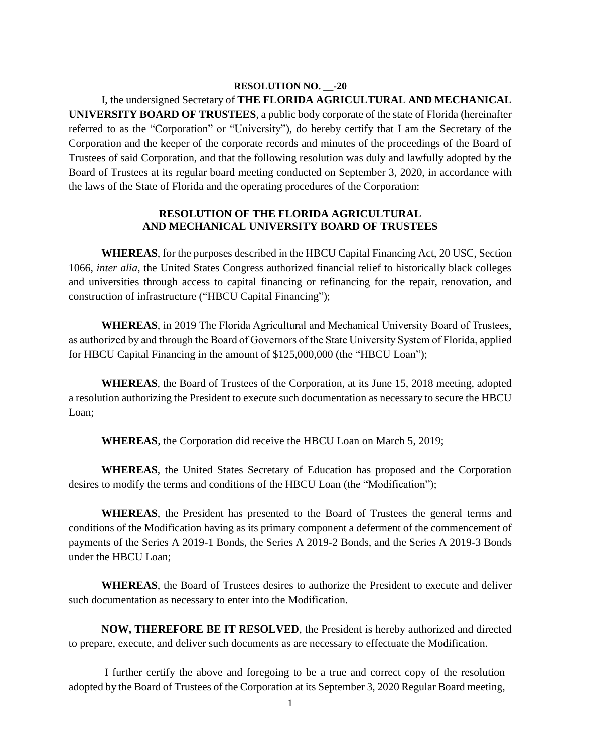## **RESOLUTION NO. \_\_-20**

I, the undersigned Secretary of **THE FLORIDA AGRICULTURAL AND MECHANICAL UNIVERSITY BOARD OF TRUSTEES**, a public body corporate of the state of Florida (hereinafter referred to as the "Corporation" or "University"), do hereby certify that I am the Secretary of the Corporation and the keeper of the corporate records and minutes of the proceedings of the Board of Trustees of said Corporation, and that the following resolution was duly and lawfully adopted by the Board of Trustees at its regular board meeting conducted on September 3, 2020, in accordance with the laws of the State of Florida and the operating procedures of the Corporation:

## **RESOLUTION OF THE FLORIDA AGRICULTURAL AND MECHANICAL UNIVERSITY BOARD OF TRUSTEES**

**WHEREAS**, for the purposes described in the HBCU Capital Financing Act, 20 USC, Section 1066, *inter alia*, the United States Congress authorized financial relief to historically black colleges and universities through access to capital financing or refinancing for the repair, renovation, and construction of infrastructure ("HBCU Capital Financing");

**WHEREAS**, in 2019 The Florida Agricultural and Mechanical University Board of Trustees, as authorized by and through the Board of Governors of the State University System of Florida, applied for HBCU Capital Financing in the amount of \$125,000,000 (the "HBCU Loan");

**WHEREAS**, the Board of Trustees of the Corporation, at its June 15, 2018 meeting, adopted a resolution authorizing the President to execute such documentation as necessary to secure the HBCU Loan;

**WHEREAS**, the Corporation did receive the HBCU Loan on March 5, 2019;

**WHEREAS**, the United States Secretary of Education has proposed and the Corporation desires to modify the terms and conditions of the HBCU Loan (the "Modification");

**WHEREAS**, the President has presented to the Board of Trustees the general terms and conditions of the Modification having as its primary component a deferment of the commencement of payments of the Series A 2019-1 Bonds, the Series A 2019-2 Bonds, and the Series A 2019-3 Bonds under the HBCU Loan;

**WHEREAS**, the Board of Trustees desires to authorize the President to execute and deliver such documentation as necessary to enter into the Modification.

**NOW, THEREFORE BE IT RESOLVED**, the President is hereby authorized and directed to prepare, execute, and deliver such documents as are necessary to effectuate the Modification.

I further certify the above and foregoing to be a true and correct copy of the resolution adopted by the Board of Trustees of the Corporation at its September 3, 2020 Regular Board meeting,